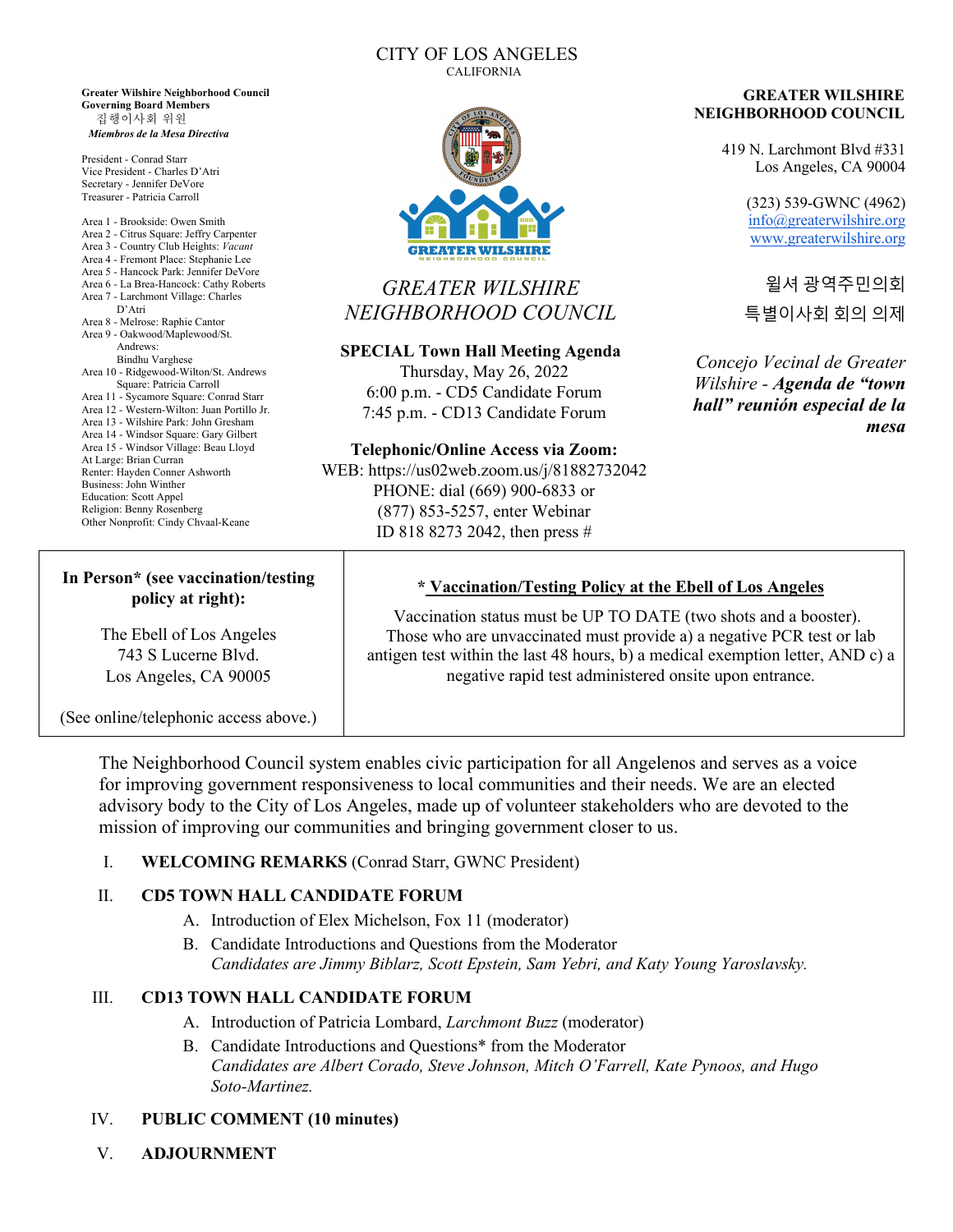**Greater Wilshire Neighborhood Council Governing Board Members**  집행이사회 위원 *Miembros de la Mesa Directiva*

President - Conrad Starr Vice President - Charles D'Atri Secretary - Jennifer DeVore Treasurer - Patricia Carroll

Area 1 - Brookside: Owen Smith Area 2 - Citrus Square: Jeffry Carpenter Area 3 - Country Club Heights: *Vacant* Area 4 - Fremont Place: Stephanie Lee Area 5 - Hancock Park: Jennifer DeVore Area 6 - La Brea-Hancock: Cathy Roberts Area 7 - Larchmont Village: Charles D'Atri Area 8 - Melrose: Raphie Cantor Area 9 - Oakwood/Maplewood/St. Andrews: Bindhu Varghese Area 10 - Ridgewood-Wilton/St. Andrews Square: Patricia Carroll Area 11 - Sycamore Square: Conrad Starr Area 12 - Western-Wilton: Juan Portillo Jr. Area 13 - Wilshire Park: John Gresham Area 14 - Windsor Square: Gary Gilbert Area 15 - Windsor Village: Beau Lloyd At Large: Brian Curran Renter: Hayden Conner Ashworth Business: John Winther Education: Scott Appel Religion: Benny Rosenberg Other Nonprofit: Cindy Chvaal-Keane

#### CITY OF LOS ANGELES CALIFORNIA



# *GREATER WILSHIRE NEIGHBORHOOD COUNCIL*

#### **SPECIAL Town Hall Meeting Agenda**

Thursday, May 26, 2022 6:00 p.m. - CD5 Candidate Forum 7:45 p.m. - CD13 Candidate Forum

#### **Telephonic/Online Access via Zoom:**

WEB: https://us02web.zoom.us/j/81882732042 PHONE: dial (669) 900-6833 or (877) 853-5257, enter Webinar ID 818 8273 2042, then press #

#### **GREATER WILSHIRE NEIGHBORHOOD COUNCIL**

419 N. Larchmont Blvd #331 Los Angeles, CA 90004

> (323) 539-GWNC (4962) info@greaterwilshire.org www.greaterwilshire.org

윌셔 광역주민의회 특별이사회 회의 의제

*Concejo Vecinal de Greater Wilshire - Agenda de "town hall" reunión especial de la mesa*

## **In Person\* (see vaccination/testing policy at right):**

The Ebell of Los Angeles 743 S Lucerne Blvd. Los Angeles, CA 90005

(See online/telephonic access above.)

The Neighborhood Council system enables civic participation for all Angelenos and serves as a voice for improving government responsiveness to local communities and their needs. We are an elected advisory body to the City of Los Angeles, made up of volunteer stakeholders who are devoted to the mission of improving our communities and bringing government closer to us.

## I. **WELCOMING REMARKS** (Conrad Starr, GWNC President)

## II. **CD5 TOWN HALL CANDIDATE FORUM**

- A. Introduction of Elex Michelson, Fox 11 (moderator)
- B. Candidate Introductions and Questions from the Moderator *Candidates are Jimmy Biblarz, Scott Epstein, Sam Yebri, and Katy Young Yaroslavsky.*

## III. **CD13 TOWN HALL CANDIDATE FORUM**

- A. Introduction of Patricia Lombard, *Larchmont Buzz* (moderator)
- B. Candidate Introductions and Questions\* from the Moderator *Candidates are Albert Corado, Steve Johnson, Mitch O'Farrell, Kate Pynoos, and Hugo Soto-Martinez.*

#### IV. **PUBLIC COMMENT (10 minutes)**

V. **ADJOURNMENT**

## **\* Vaccination/Testing Policy at the Ebell of Los Angeles**

Vaccination status must be UP TO DATE (two shots and a booster). Those who are unvaccinated must provide a) a negative PCR test or lab antigen test within the last 48 hours, b) a medical exemption letter, AND c) a negative rapid test administered onsite upon entrance.